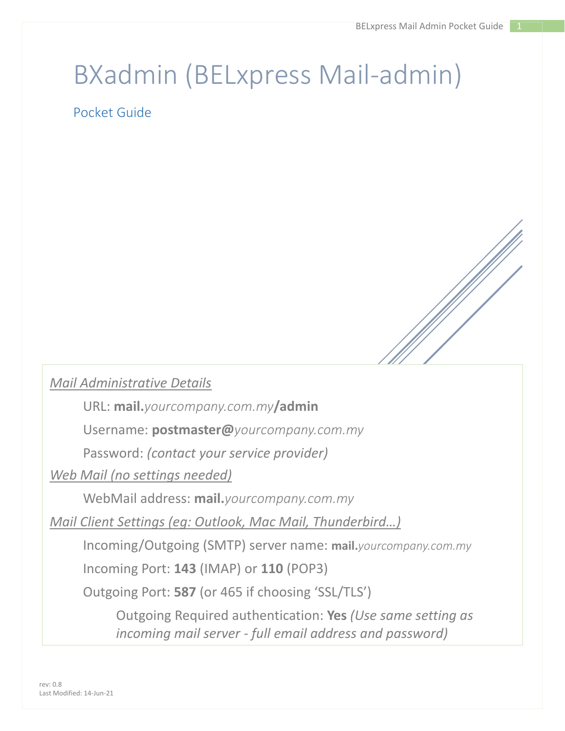## BXadmin (BELxpress Mail-admin)

Pocket Guide

## *Mail Administrative Details*

URL: **mail.***yourcompany.com.my***/admin**

Username: **postmaster@***yourcompany.com.my*

Password: *(contact your service provider)*

*Web Mail (no settings needed)*

WebMail address: **mail.***yourcompany.com.my*

*Mail Client Settings (eg: Outlook, Mac Mail, Thunderbird…)*

Incoming/Outgoing (SMTP) server name: **mail.***yourcompany.com.my*

Incoming Port: **143** (IMAP) or **110** (POP3)

Outgoing Port: **587** (or 465 if choosing 'SSL/TLS')

Outgoing Required authentication: **Yes** *(Use same setting as incoming mail server - full email address and password)*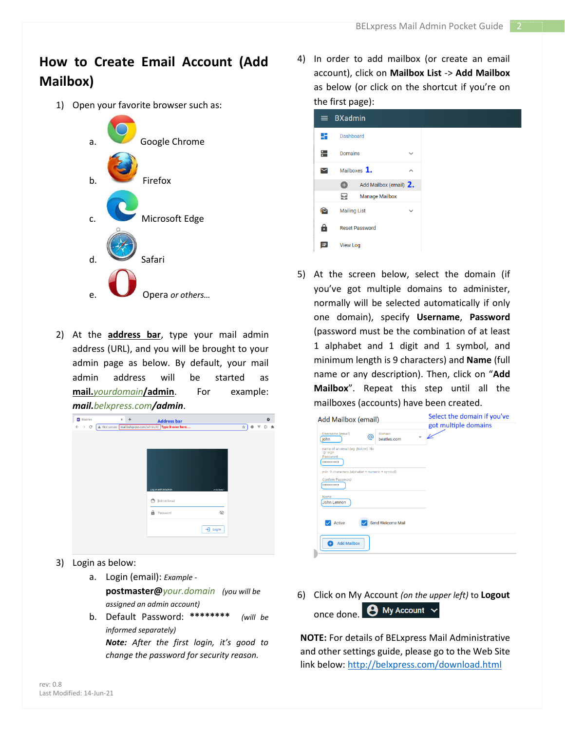## **How to Create Email Account (Add Mailbox)**

1) Open your favorite browser such as:



2) At the **address bar**, type your mail admin address (URL), and you will be brought to your admin page as below. By default, your mail admin address will be started as **mail.***yourdomain***/admin**. For example: *mail.belxpress.com/admin*.

| $\rightarrow$ C |  |   | A Not secure mail.bebpress.com/admin/#/ Type it over here |  |              | ☆   ※ ▼ |  | CI 寿 |
|-----------------|--|---|-----------------------------------------------------------|--|--------------|---------|--|------|
|                 |  |   |                                                           |  |              |         |  |      |
|                 |  |   |                                                           |  |              |         |  |      |
|                 |  |   |                                                           |  |              |         |  |      |
|                 |  |   |                                                           |  |              |         |  |      |
|                 |  |   | Log in with BXadmin                                       |  | v1.00-beta.1 |         |  |      |
|                 |  | ෬ | Admin Email                                               |  |              |         |  |      |
|                 |  | a | Password                                                  |  | È            |         |  |      |
|                 |  |   |                                                           |  |              |         |  |      |
|                 |  |   |                                                           |  | +] Log in    |         |  |      |

- 3) Login as below:
	- a. Login (email): *Example*  **postmaster@***your.domain**(you will be assigned an admin account)*
	- b. Default Password: **\*\*\*\*\*\*\*\*** *(will be informed separately)*

*Note: After the first login, it's good to change the password for security reason.*

4) In order to add mailbox (or create an email account), click on **Mailbox List** -> **Add Mailbox** as below (or click on the shortcut if you're on the first page):

|   | $\equiv$ BXadmin                |              |  |
|---|---------------------------------|--------------|--|
| H | Dashboard                       |              |  |
| ∺ | <b>Domains</b>                  | $\checkmark$ |  |
|   | Mailboxes $1.$                  | ᄉ            |  |
|   | Add Mailbox (email) 2.<br>$\pm$ |              |  |
|   | <b>Manage Mailbox</b><br>닢      |              |  |
|   | <b>Mailing List</b>             | $\checkmark$ |  |
| 9 | <b>Reset Password</b>           |              |  |
| æ | <b>View Log</b>                 |              |  |

5) At the screen below, select the domain (if you've got multiple domains to administer, normally will be selected automatically if only one domain), specify **Username**, **Password** (password must be the combination of at least 1 alphabet and 1 digit and 1 symbol, and minimum length is 9 characters) and **Name** (full name or any description). Then, click on "**Add Mailbox**". Repeat this step until all the mailboxes (accounts) have been created.

| Add Mailbox (email)                                                     | Select the domain if you've<br>got multiple domains |
|-------------------------------------------------------------------------|-----------------------------------------------------|
| Username (email)<br>domain<br>ര<br>beatles.com<br>john                  |                                                     |
| name of an email (eg. jholow). No<br>'@' sign<br>Password<br>           |                                                     |
| min. 9 characters (alphabet + numeric + symbol)<br>Confirm Password<br> |                                                     |
| Name<br>John Lennon                                                     |                                                     |
| Send Welcome Mail<br>Active                                             |                                                     |
| <b>Add Mailbox</b>                                                      |                                                     |

6) Click on My Account *(on the upper left)* to **Logout**  once done. **@** My Account  $\vee$ 

**NOTE:** For details of BELxpress Mail Administrative and other settings guide, please go to the Web Site link below: <http://belxpress.com/download.html>